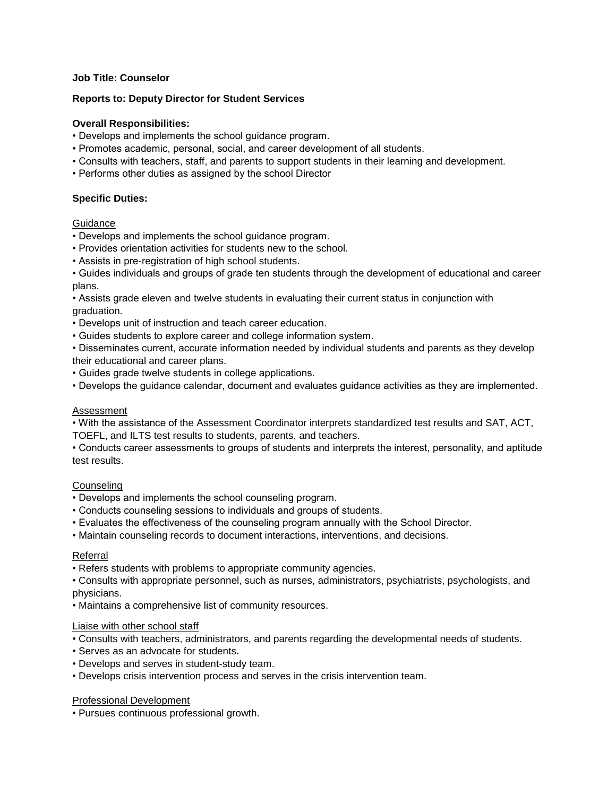# **Job Title: Counselor**

## **Reports to: Deputy Director for Student Services**

## **Overall Responsibilities:**

- Develops and implements the school guidance program.
- Promotes academic, personal, social, and career development of all students.
- Consults with teachers, staff, and parents to support students in their learning and development.
- Performs other duties as assigned by the school Director

### **Specific Duties:**

#### Guidance

- Develops and implements the school guidance program.
- Provides orientation activities for students new to the school.
- Assists in pre-registration of high school students.

• Guides individuals and groups of grade ten students through the development of educational and career plans.

• Assists grade eleven and twelve students in evaluating their current status in conjunction with graduation.

- Develops unit of instruction and teach career education.
- Guides students to explore career and college information system.

• Disseminates current, accurate information needed by individual students and parents as they develop their educational and career plans.

- Guides grade twelve students in college applications.
- Develops the guidance calendar, document and evaluates guidance activities as they are implemented.

#### Assessment

• With the assistance of the Assessment Coordinator interprets standardized test results and SAT, ACT, TOEFL, and ILTS test results to students, parents, and teachers.

• Conducts career assessments to groups of students and interprets the interest, personality, and aptitude test results.

#### Counseling

- Develops and implements the school counseling program.
- Conducts counseling sessions to individuals and groups of students.
- Evaluates the effectiveness of the counseling program annually with the School Director.
- Maintain counseling records to document interactions, interventions, and decisions.

#### Referral

• Refers students with problems to appropriate community agencies.

• Consults with appropriate personnel, such as nurses, administrators, psychiatrists, psychologists, and physicians.

• Maintains a comprehensive list of community resources.

#### Liaise with other school staff

- Consults with teachers, administrators, and parents regarding the developmental needs of students.
- Serves as an advocate for students.
- Develops and serves in student-study team.
- Develops crisis intervention process and serves in the crisis intervention team.

#### Professional Development

• Pursues continuous professional growth.